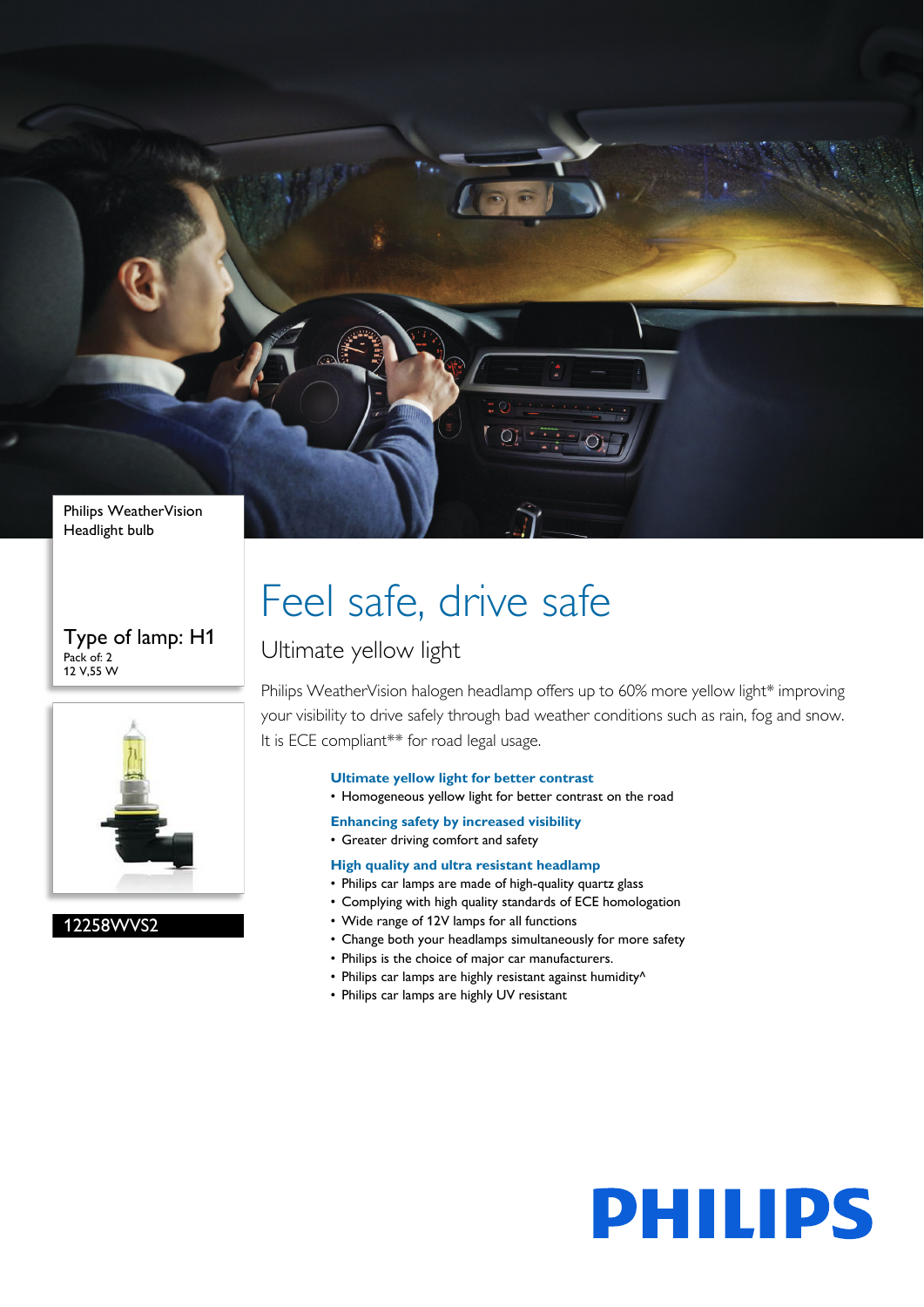

#### Type of lamp: H1 Pack of: 2 12 V,55 W



12258WVS2

# Feel safe, drive safe

### Ultimate yellow light

Philips WeatherVision halogen headlamp offers up to 60% more yellow light\* improving your visibility to drive safely through bad weather conditions such as rain, fog and snow. It is ECE compliant\*\* for road legal usage.

#### **Ultimate yellow light for better contrast**

- Homogeneous yellow light for better contrast on the road
- **Enhancing safety by increased visibility**
- Greater driving comfort and safety
- **High quality and ultra resistant headlamp**
- Philips car lamps are made of high-quality quartz glass
- Complying with high quality standards of ECE homologation
- Wide range of 12V lamps for all functions
- Change both your headlamps simultaneously for more safety
- Philips is the choice of major car manufacturers.
- Philips car lamps are highly resistant against humidity<sup>^</sup>
- Philips car lamps are highly UV resistant